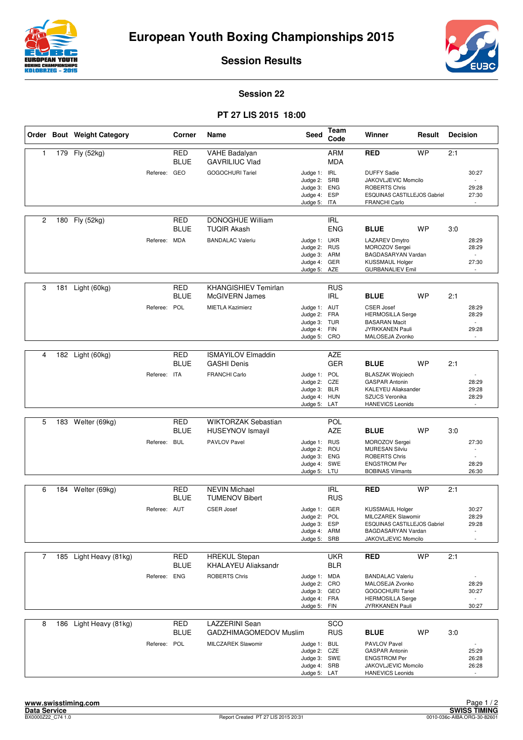



**Session Results**

## **Session 22**

## **PT 27 LIS 2015 18:00**

|                |     | Order Bout Weight Category |              | Corner                    | Name                                                  | <b>Seed</b>                                                                  | Team<br>Code             | Winner                                                                                                                    | Result    | <b>Decision</b> |                                                     |
|----------------|-----|----------------------------|--------------|---------------------------|-------------------------------------------------------|------------------------------------------------------------------------------|--------------------------|---------------------------------------------------------------------------------------------------------------------------|-----------|-----------------|-----------------------------------------------------|
| 1              |     | 179 Fly (52kg)             |              | <b>RED</b><br><b>BLUE</b> | VAHE Badalyan<br><b>GAVRILIUC Vlad</b>                |                                                                              | <b>ARM</b><br><b>MDA</b> | <b>RED</b>                                                                                                                | <b>WP</b> | 2:1             |                                                     |
|                |     |                            | Referee: GEO |                           | <b>GOGOCHURI Tariel</b>                               | Judge 1: IRL<br>Judge 2: SRB<br>Judge 3: ENG<br>Judge 4: ESP<br>Judge 5: ITA |                          | <b>DUFFY Sadie</b><br>JAKOVLJEVIC Momcilo<br><b>ROBERTS Chris</b><br><b>ESQUINAS CASTILLEJOS Gabriel</b><br>FRANCHI Carlo |           |                 | 30:27<br>$\sim$<br>29:28<br>27:30<br>$\overline{a}$ |
| $\overline{c}$ |     | 180 Fly (52kg)             |              | <b>RED</b><br><b>BLUE</b> | DONOGHUE William<br><b>TUQIR Akash</b>                |                                                                              | <b>IRL</b><br><b>ENG</b> | <b>BLUE</b>                                                                                                               | <b>WP</b> | 3:0             |                                                     |
|                |     |                            | Referee: MDA |                           | <b>BANDALAC Valeriu</b>                               | Judge 1: UKR<br>Judge 2: RUS<br>Judge 3: ARM<br>Judge 4: GER<br>Judge 5: AZE |                          | <b>LAZAREV Dmytro</b><br>MOROZOV Sergei<br>BAGDASARYAN Vardan<br><b>KUSSMAUL Holger</b><br><b>GURBANALIEV Emil</b>        |           |                 | 28:29<br>28:29<br>$\mathbb{L}$<br>27:30             |
| 3              | 181 | Light (60kg)               |              | <b>RED</b><br><b>BLUE</b> | <b>KHANGISHIEV Temirlan</b><br>McGIVERN James         |                                                                              | <b>RUS</b><br>IRL        | <b>BLUE</b>                                                                                                               | <b>WP</b> | 2:1             |                                                     |
|                |     |                            | Referee: POL |                           | <b>MIETLA Kazimierz</b>                               | Judge 1: AUT<br>Judge 2: FRA<br>Judge 3: TUR<br>Judge 4: FIN<br>Judge 5:     | CRO                      | <b>CSER Josef</b><br><b>HERMOSILLA Serge</b><br><b>BASARAN Macit</b><br>JYRKKANEN Pauli<br>MALOSEJA Zvonko                |           |                 | 28:29<br>28:29<br>$\sim$<br>29:28                   |
| 4              |     | 182 Light (60kg)           |              | <b>RED</b>                | <b>ISMAYILOV Elmaddin</b>                             |                                                                              | <b>AZE</b>               |                                                                                                                           |           |                 |                                                     |
|                |     |                            |              | <b>BLUE</b>               | <b>GASHI Denis</b>                                    |                                                                              | <b>GER</b>               | <b>BLUE</b>                                                                                                               | <b>WP</b> | 2:1             |                                                     |
|                |     |                            | Referee: ITA |                           | <b>FRANCHI Carlo</b>                                  | Judge 1: POL<br>Judge 2: CZE<br>Judge 3: BLR<br>Judge 4: HUN<br>Judge 5: LAT |                          | <b>BLASZAK Wojciech</b><br><b>GASPAR Antonin</b><br>KALEYEU Aliaksander<br>SZUCS Veronika<br><b>HANEVICS Leonids</b>      |           |                 | 28:29<br>29:28<br>28:29<br>$\mathbf{r}$             |
|                |     |                            |              |                           |                                                       |                                                                              |                          |                                                                                                                           |           |                 |                                                     |
| 5              | 183 | Welter (69kg)              |              | <b>RED</b><br><b>BLUE</b> | <b>WIKTORZAK Sebastian</b><br><b>HUSEYNOV Ismayil</b> |                                                                              | POL<br><b>AZE</b>        | <b>BLUE</b>                                                                                                               | <b>WP</b> | 3:0             |                                                     |
|                |     |                            | Referee: BUL |                           | <b>PAVLOV Pavel</b>                                   | Judge 1: RUS<br>Judge 2: ROU<br>Judge 3: ENG<br>Judge 4: SWE<br>Judge 5: LTU |                          | MOROZOV Sergei<br><b>MURESAN Silviu</b><br><b>ROBERTS Chris</b><br><b>ENGSTROM Per</b><br><b>BOBINAS Vilmants</b>         |           |                 | 27:30<br>$\sim$<br>÷,<br>28:29<br>26:30             |
| 6              |     | 184 Welter (69kg)          |              | <b>RED</b>                | <b>NEVIN Michael</b>                                  |                                                                              | <b>IRL</b>               | <b>RED</b>                                                                                                                | <b>WP</b> | 2:1             |                                                     |
|                |     |                            |              | <b>BLUE</b>               | <b>TUMENOV Bibert</b>                                 |                                                                              | <b>RUS</b>               |                                                                                                                           |           |                 |                                                     |
|                |     |                            | Referee: AUT |                           | <b>CSER Josef</b>                                     | Judge 1: GER<br>Judge 2: POL<br>Judge 3: ESP<br>Judge 4: ARM<br>Judge 5: SRB |                          | <b>KUSSMAUL Holger</b><br>MILCZAREK Slawomir<br>ESQUINAS CASTILLEJOS Gabriel<br>BAGDASARYAN Vardan<br>JAKOVLJEVIC Momcilo |           |                 | 30:27<br>28:29<br>29:28                             |
| $\overline{7}$ |     | 185 Light Heavy (81kg)     |              | RED                       | <b>HREKUL Stepan</b>                                  |                                                                              | <b>UKR</b>               | <b>RED</b>                                                                                                                | <b>WP</b> | 2:1             |                                                     |
|                |     |                            |              | BLUE                      | <b>KHALAYEU Aliaksandr</b>                            |                                                                              | <b>BLR</b>               |                                                                                                                           |           |                 |                                                     |
|                |     |                            | Referee: ENG |                           | <b>ROBERTS Chris</b>                                  | Judge 1: MDA<br>Judge 2: CRO<br>Judge 3: GEO<br>Judge 4: FRA<br>Judge 5: FIN |                          | <b>BANDALAC Valeriu</b><br>MALOSEJA Zvonko<br>GOGOCHURI Tariel<br><b>HERMOSILLA Serge</b><br>JYRKKANEN Pauli              |           |                 | 28:29<br>30:27<br>$\blacksquare$<br>30:27           |
| 8              | 186 | Light Heavy (81kg)         |              | <b>RED</b><br><b>BLUE</b> | <b>LAZZERINI</b> Sean<br>GADZHIMAGOMEDOV Muslim       |                                                                              | SCO<br><b>RUS</b>        | <b>BLUE</b>                                                                                                               | <b>WP</b> | 3:0             |                                                     |
|                |     |                            | Referee: POL |                           | MILCZAREK Slawomir                                    | Judge 1: BUL<br>Judge 2: CZE<br>Judge 3: SWE<br>Judge 4: SRB<br>Judge 5: LAT |                          | PAVLOV Pavel<br><b>GASPAR Antonin</b><br><b>ENGSTROM Per</b><br>JAKOVLJEVIC Momcilo<br><b>HANEVICS Leonids</b>            |           |                 | 25:29<br>26:28<br>26:28                             |